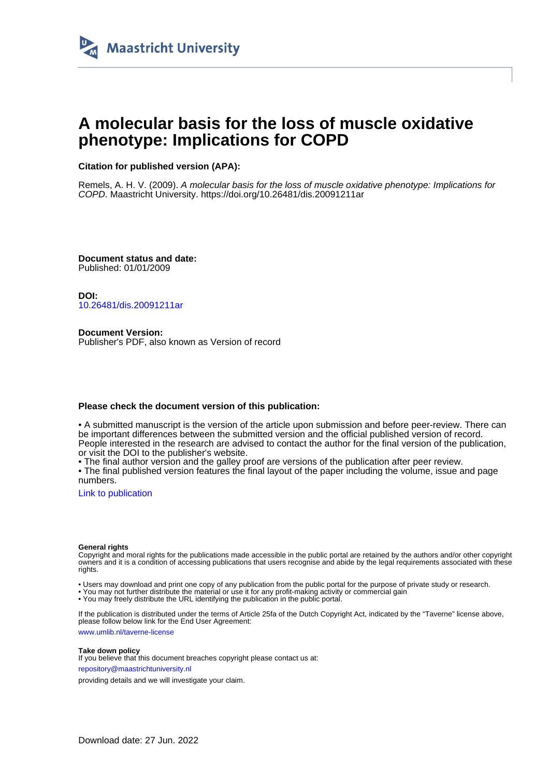

# **A molecular basis for the loss of muscle oxidative phenotype: Implications for COPD**

**Citation for published version (APA):**

Remels, A. H. V. (2009). A molecular basis for the loss of muscle oxidative phenotype: Implications for COPD. Maastricht University. <https://doi.org/10.26481/dis.20091211ar>

**Document status and date:** Published: 01/01/2009

**DOI:** [10.26481/dis.20091211ar](https://doi.org/10.26481/dis.20091211ar)

**Document Version:** Publisher's PDF, also known as Version of record

#### **Please check the document version of this publication:**

• A submitted manuscript is the version of the article upon submission and before peer-review. There can be important differences between the submitted version and the official published version of record. People interested in the research are advised to contact the author for the final version of the publication, or visit the DOI to the publisher's website.

• The final author version and the galley proof are versions of the publication after peer review.

• The final published version features the final layout of the paper including the volume, issue and page numbers.

[Link to publication](https://cris.maastrichtuniversity.nl/en/publications/e3d099b1-69b4-44a5-9a72-9b4ab1ee0707)

#### **General rights**

Copyright and moral rights for the publications made accessible in the public portal are retained by the authors and/or other copyright owners and it is a condition of accessing publications that users recognise and abide by the legal requirements associated with these rights.

• Users may download and print one copy of any publication from the public portal for the purpose of private study or research.

• You may not further distribute the material or use it for any profit-making activity or commercial gain

• You may freely distribute the URL identifying the publication in the public portal.

If the publication is distributed under the terms of Article 25fa of the Dutch Copyright Act, indicated by the "Taverne" license above, please follow below link for the End User Agreement:

www.umlib.nl/taverne-license

#### **Take down policy**

If you believe that this document breaches copyright please contact us at: repository@maastrichtuniversity.nl

providing details and we will investigate your claim.